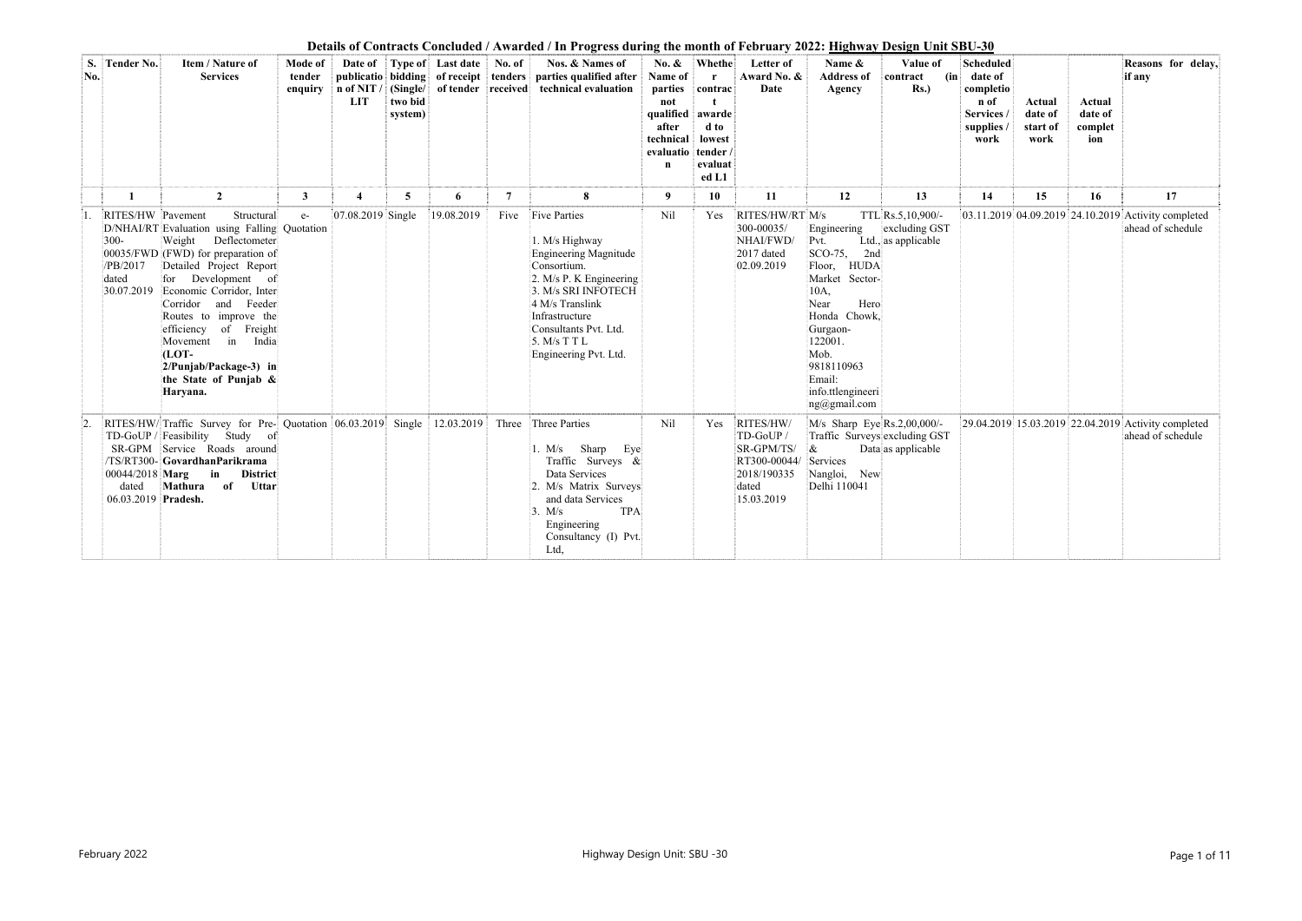**Details of Contracts Concluded / Awarded / In Progress during the month of February 2022: Highway Design Unit SBU-30** 

|           |                                                   |                                                                                                                                                                                                                                                                                                                                                                                              |                              |                         |                    |                                  |                | Details of Contracts Concluded / Awarded / In Progress during the month of February 2022: <u>Highway Design Unit SBU-30</u>                                                                                                          |                                                                                        |                                                                                                      |                                                                                           |                                                                                                                                                                                                                   |                                                           |                                                                                  |                                       |                                     |                                                                          |
|-----------|---------------------------------------------------|----------------------------------------------------------------------------------------------------------------------------------------------------------------------------------------------------------------------------------------------------------------------------------------------------------------------------------------------------------------------------------------------|------------------------------|-------------------------|--------------------|----------------------------------|----------------|--------------------------------------------------------------------------------------------------------------------------------------------------------------------------------------------------------------------------------------|----------------------------------------------------------------------------------------|------------------------------------------------------------------------------------------------------|-------------------------------------------------------------------------------------------|-------------------------------------------------------------------------------------------------------------------------------------------------------------------------------------------------------------------|-----------------------------------------------------------|----------------------------------------------------------------------------------|---------------------------------------|-------------------------------------|--------------------------------------------------------------------------|
| S.<br>No. | <b>Tender No.</b>                                 | Item / Nature of<br><b>Services</b>                                                                                                                                                                                                                                                                                                                                                          | Mode of<br>tender<br>enquiry | LIT                     | two bid<br>system) | Date of Type of Last date No. of |                | Nos. & Names of<br>publicatio bidding of receipt tenders parties qualified after Name of<br>n of NIT / (Single/ of tender received technical evaluation                                                                              | No. &<br>parties<br>not<br>qualified<br>after<br>technical<br>evaluatio<br>$\mathbf n$ | <b>Whethe</b><br>$\mathbf{r}$<br>contrac<br>awarde<br>d to<br>lowest<br>tender /<br>evaluat<br>ed L1 | Letter of<br>Award No. &<br>Date                                                          | Name &<br><b>Address of</b><br>Agency                                                                                                                                                                             | Value of<br>(in)<br>contract<br>Rs.                       | <b>Scheduled</b><br>date of<br>completio<br>n of<br>Services<br>supplies<br>work | Actual<br>date of<br>start of<br>work | Actual<br>date of<br>complet<br>ion | Reasons for delay,<br>if any                                             |
|           |                                                   | $\overline{2}$                                                                                                                                                                                                                                                                                                                                                                               | $\mathbf{3}$                 | $\overline{\mathbf{4}}$ | $\overline{5}$     | 6                                | $\overline{7}$ | 8                                                                                                                                                                                                                                    | 9                                                                                      | 10                                                                                                   | 11                                                                                        | 12                                                                                                                                                                                                                | 13                                                        | 14                                                                               | 15                                    | 16                                  | 17                                                                       |
|           | RITES/HW Pavement<br>$300 -$<br>/PB/2017<br>dated | Structural<br>D/NHAI/RT Evaluation using Falling Quotation<br>Weight Deflectometer<br>00035/FWD (FWD) for preparation of<br>Detailed Project Report<br>for Development of<br>30.07.2019 Economic Corridor, Inter<br>Corridor and Feeder<br>Routes to improve the<br>efficiency of Freight<br>India<br>Movement in<br>$(LOT -$<br>2/Punjab/Package-3) in<br>the State of Punjab &<br>Haryana. | $e-$                         | 07.08.2019 Single       |                    | 19.08.2019                       |                | Five Five Parties<br>1. M/s Highway<br>Engineering Magnitude<br>Consortium.<br>2. M/s P. K Engineering<br>3. M/s SRI INFOTECH<br>4 M/s Translink<br>Infrastructure<br>Consultants Pvt. Ltd.<br>5. M/s T T L<br>Engineering Pvt. Ltd. | Nil                                                                                    | Yes                                                                                                  | RITES/HW/RT M/s<br>300-00035/<br>NHAI/FWD/<br>2017 dated<br>02.09.2019                    | Engineering<br>Pvt.<br>SCO-75, 2nd<br><b>HUDA</b><br>Floor,<br>Market Sector-<br>10A,<br>Hero<br>Near<br>Honda Chowk,<br>Gurgaon-<br>122001.<br>Mob.<br>9818110963<br>Email:<br>info.ttlengineeri<br>ng@gmail.com | TTL Rs.5,10,900/-<br>excluding GST<br>Ltd., as applicable |                                                                                  |                                       |                                     | 03.11.2019 04.09.2019 24.10.2019 Activity completed<br>ahead of schedule |
|           | $00044/2018$ Marg<br>dated<br>06.03.2019 Pradesh. | RITES/HW/Traffic Survey for Pre- Quotation 06.03.2019 Single 12.03.2019 Three Three Parties<br>TD-GoUP / Feasibility Study of<br>SR-GPM Service Roads around<br>/TS/RT300-GovardhanParikrama<br>$\mathbf{in}$<br><b>District</b><br>Mathura<br>of<br>Uttar                                                                                                                                   |                              |                         |                    |                                  |                | Sharp<br>Eye<br>1. M/s<br>Traffic Surveys $\&$<br>Data Services<br>2. M/s Matrix Surveys<br>and data Services<br><b>TPA</b><br>3. M/s<br>Engineering<br>Consultancy (I) Pvt.<br>Ltd,                                                 | Nil                                                                                    | Yes                                                                                                  | RITES/HW/<br>TD-GoUP/<br>SR-GPM/TS/<br>RT300-00044/<br>2018/190335<br>dated<br>15.03.2019 | M/s Sharp Eye Rs.2,00,000/-<br>Traffic Surveys excluding GST<br>$\alpha$<br>Services<br>Nangloi, New<br>Delhi 110041                                                                                              | Data as applicable                                        |                                                                                  |                                       |                                     | 29.04.2019 15.03.2019 22.04.2019 Activity completed<br>ahead of schedule |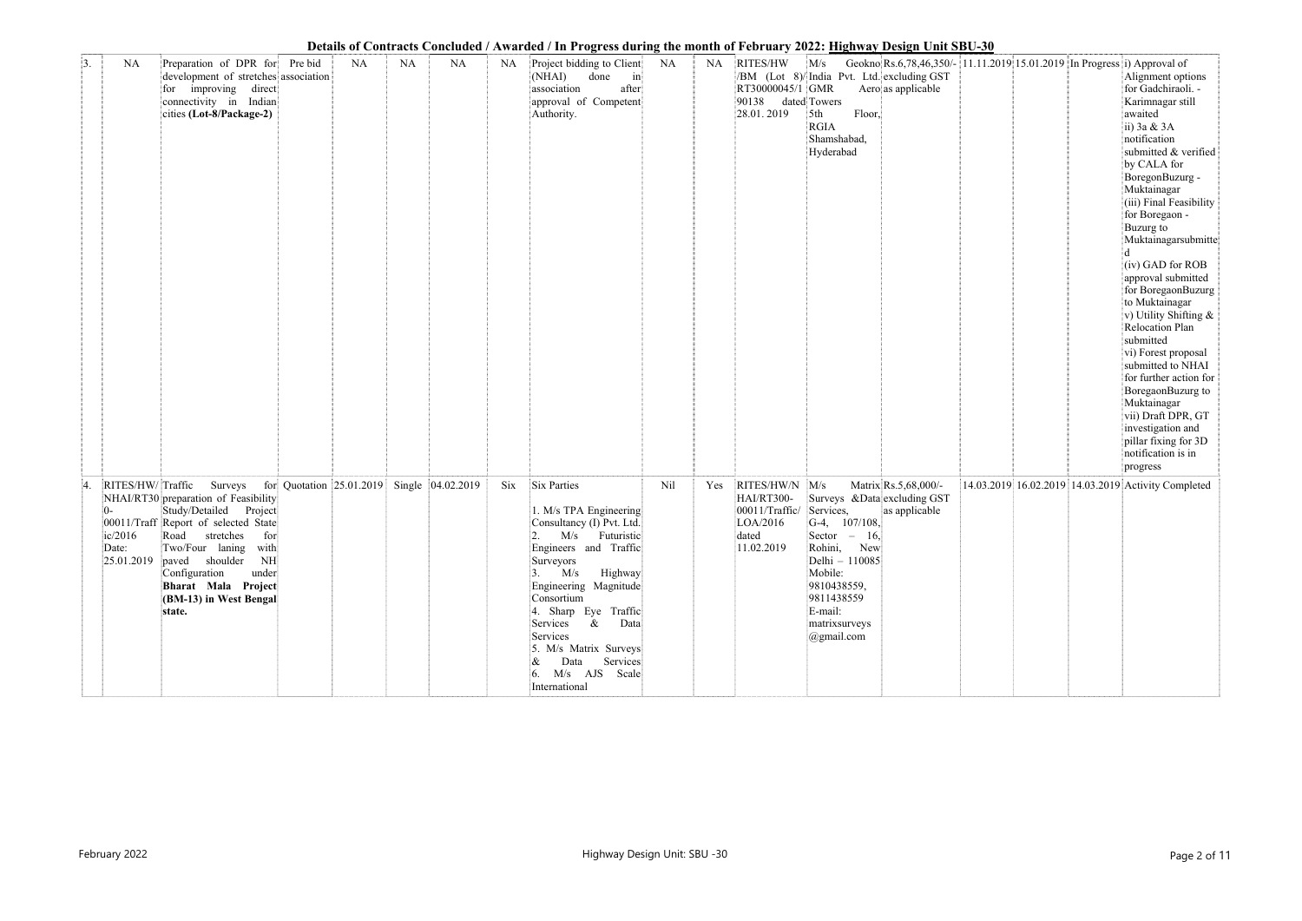|    |           |                                                                                                                                                                                                                                                                                                                   |         |    |           |                                            |             | Details of Contracts Concluded / Awarded / In Progress during the month of February 2022; <u>Highway Design Unit SB</u> U-30                                                                                                                                                                                                           |     |           |                                                                                   |                                                                                                                                                                                                       |                                                                                                |  |                                                                                                                                                                                                                                                                                                                                                                                                                                                                                                                                                                                                                              |
|----|-----------|-------------------------------------------------------------------------------------------------------------------------------------------------------------------------------------------------------------------------------------------------------------------------------------------------------------------|---------|----|-----------|--------------------------------------------|-------------|----------------------------------------------------------------------------------------------------------------------------------------------------------------------------------------------------------------------------------------------------------------------------------------------------------------------------------------|-----|-----------|-----------------------------------------------------------------------------------|-------------------------------------------------------------------------------------------------------------------------------------------------------------------------------------------------------|------------------------------------------------------------------------------------------------|--|------------------------------------------------------------------------------------------------------------------------------------------------------------------------------------------------------------------------------------------------------------------------------------------------------------------------------------------------------------------------------------------------------------------------------------------------------------------------------------------------------------------------------------------------------------------------------------------------------------------------------|
| 3. | <b>NA</b> | Preparation of DPR for<br>development of stretches association<br>for improving direct<br>connectivity in Indian<br>cities (Lot-8/Package-2)                                                                                                                                                                      | Pre bid | NA | <b>NA</b> | NA                                         | NA          | Project bidding to Client<br>(NHAI)<br>done<br>$\left  \text{in} \right $<br>association<br>after<br>approval of Competent<br>Authority.                                                                                                                                                                                               | NA  | <b>NA</b> | RITES/HW<br>RT30000045/1 GMR<br>90138<br>28.01.2019                               | M/s<br>/BM (Lot 8)/ India Pvt. Ltd. excluding GST<br>dated Towers<br>Floor,<br>5th<br><b>RGIA</b><br>Shamshabad,<br>Hyderabad                                                                         | Geokno Rs.6,78,46,350/- 11.11.2019 15.01.2019 In Progress i) Approval of<br>Aero as applicable |  | Alignment options<br>for Gadchiraoli. -<br>Karimnagar still<br>awaited<br>ii) $3a \& 3A$<br>notification<br>submitted & verified<br>by CALA for<br>BoregonBuzurg -<br>Muktainagar<br>(iii) Final Feasibility<br>for Boregaon -<br>Buzurg to<br>Muktainagarsubmitte<br>(iv) GAD for ROB<br>approval submitted<br>for BoregaonBuzurg<br>to Muktainagar<br>v) Utility Shifting &<br>Relocation Plan<br>submitted<br>vi) Forest proposal<br>submitted to NHAI<br>for further action for<br>BoregaonBuzurg to<br>Muktainagar<br>vii) Draft DPR, GT<br>investigation and<br>pillar fixing for 3D<br>notification is in<br>progress |
|    | Date:     | RITES/HW/Traffic Surveys<br>NHAI/RT30 preparation of Feasibility<br>Study/Detailed Project<br>00011/Traff Report of selected State<br>ic/2016 Road stretches for<br>Two/Four laning with<br>$[25.01.2019]$ paved shoulder NH<br>Configuration<br>under<br>Bharat Mala Project<br>(BM-13) in West Bengal<br>state. |         |    |           | for Quotation 25.01.2019 Single 04.02.2019 | $\rm {Si}x$ | Six Parties<br>1. M/s TPA Engineering<br>Consultancy (I) Pvt. Ltd.<br>2. M/s Futuristic<br>Engineers and Traffic<br>Surveyors<br>$3.$ M/s Highway<br>Engineering Magnitude<br>Consortium<br>4. Sharp Eye Traffic<br>Services &<br>Data<br>Services<br>5. M/s Matrix Surveys<br>$\&$ Data Services<br>6. M/s AJS Scale<br>International | Nil | Yes       | RITES/HW/N M/s<br>HAI/RT300-<br>00011/Traffic/<br>LOA/2016<br>dated<br>11.02.2019 | Surveys & Data excluding GST<br>Services,<br>$ G-4, 107/108,$<br>Sector $-16$ ,<br>Rohini, New<br>Delhi - 110085<br>Mobile:<br>9810438559,<br>9811438559<br>E-mail:<br>matrixsurveys<br>$@g$ mail.com | Matrix Rs.5,68,000/-<br>as applicable                                                          |  | 14.03.2019 16.02.2019 14.03.2019 Activity Completed                                                                                                                                                                                                                                                                                                                                                                                                                                                                                                                                                                          |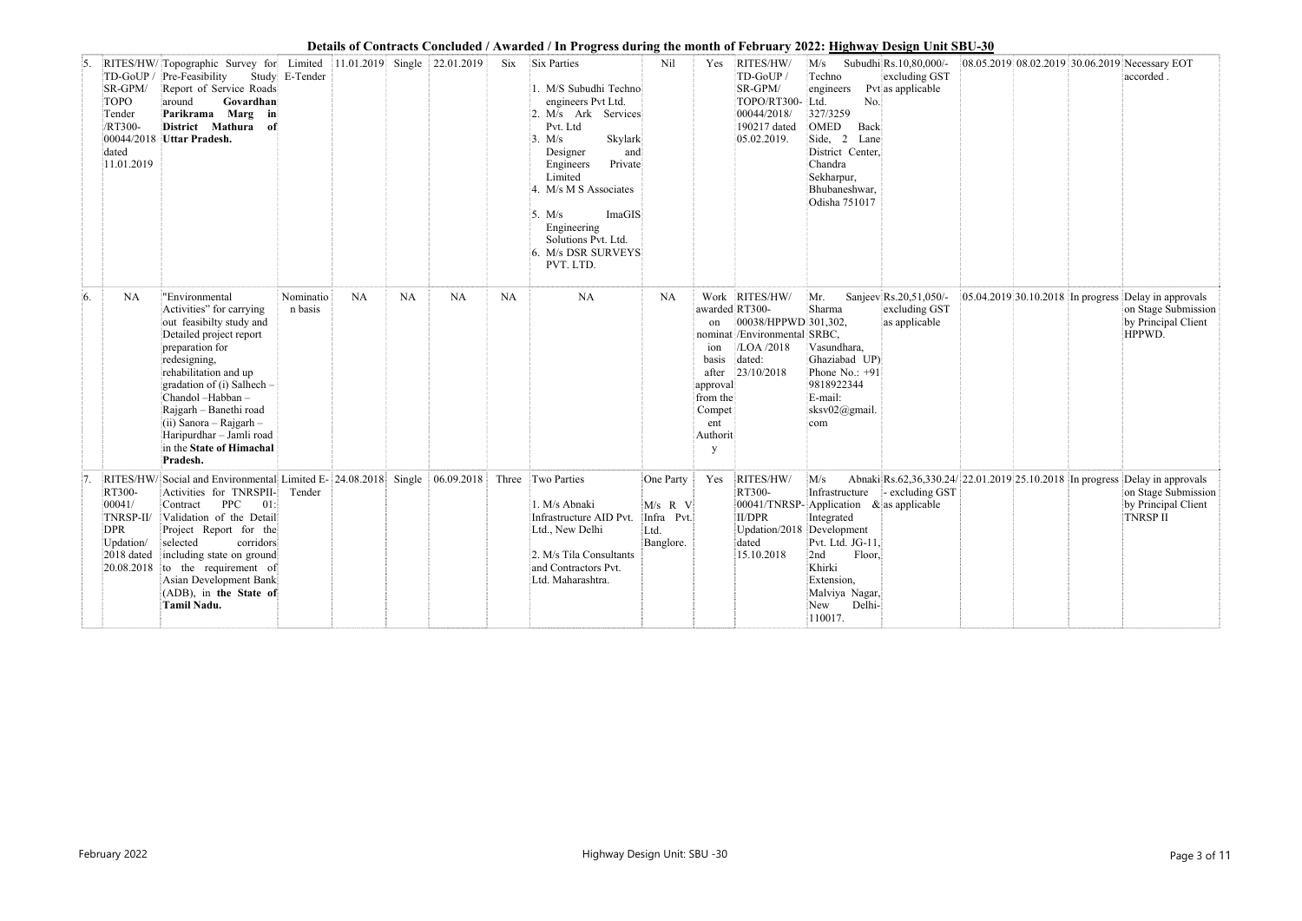|    |                                                                    |                                                                                                                                                                                                                                                                                                                                                                                                |                      |           |           |                                  |           | Details of Contracts Concluded / Awarded / In Progress during the month of Pedruary 2022; <u>Highway Design Unit SB</u> U-30                                                                                                                                                                         |                                                         |                                                                                                         |                                                                                                              |                                                                                                                                                                                                                     |                                                               |  |                                                                                                                                               |
|----|--------------------------------------------------------------------|------------------------------------------------------------------------------------------------------------------------------------------------------------------------------------------------------------------------------------------------------------------------------------------------------------------------------------------------------------------------------------------------|----------------------|-----------|-----------|----------------------------------|-----------|------------------------------------------------------------------------------------------------------------------------------------------------------------------------------------------------------------------------------------------------------------------------------------------------------|---------------------------------------------------------|---------------------------------------------------------------------------------------------------------|--------------------------------------------------------------------------------------------------------------|---------------------------------------------------------------------------------------------------------------------------------------------------------------------------------------------------------------------|---------------------------------------------------------------|--|-----------------------------------------------------------------------------------------------------------------------------------------------|
|    | SR-GPM/<br><b>TOPO</b><br>Tender<br>/RT300-<br>dated<br>11.01.2019 | RITES/HW/Topographic Survey for Limited<br>TD-GoUP / Pre-Feasibility<br>Report of Service Roads<br>around<br>Govardhan<br>Parikrama Marg in<br>District Mathura of<br>00044/2018 Uttar Pradesh.                                                                                                                                                                                                | Study E-Tender       |           |           | $ 11.01.2019 $ Single 22.01.2019 |           | Six Six Parties<br>1. M/S Subudhi Techno<br>engineers Pvt Ltd.<br>2. M/s Ark Services<br>Pvt. Ltd<br>Skylark<br>3. M/s<br>Designer<br>and<br>Private<br>Engineers<br>Limited<br>4. M/s M S Associates<br>5. $M/s$<br>ImaGIS<br>Engineering<br>Solutions Pvt. Ltd.<br>6. M/s DSR SURVEYS<br>PVT. LTD. | Nil                                                     | Yes                                                                                                     | RITES/HW/<br>TD-GoUP/<br>SR-GPM/<br>TOPO/RT300- Ltd.<br>00044/2018/<br>190217 dated<br>05.02.2019.           | M/s<br>Techno<br>engineers<br>No.<br>327/3259<br>OMED<br>Back<br>Side, 2 Lane<br>District Center,<br>Chandra<br>Sekharpur,<br>Bhubaneshwar,<br>Odisha 751017                                                        | Subudhi Rs. 10,80,000/-<br>excluding GST<br>Pyt as applicable |  | 08.05.2019 08.02.2019 30.06.2019 Necessary EOT<br>accorded.                                                                                   |
| 6. | <b>NA</b>                                                          | "Environmental<br>Activities" for carrying<br>out feasibilty study and<br>Detailed project report<br>preparation for<br>redesigning,<br>rehabilitation and up<br>gradation of $(i)$ Salhech –<br>Chandol -Habban -<br>Rajgarh - Banethi road<br>$(iii)$ Sanora – Rajgarh –<br>Haripurdhar - Jamli road<br>in the State of Himachal<br>Pradesh.                                                 | Nominatio<br>n basis | <b>NA</b> | <b>NA</b> | <b>NA</b>                        | <b>NA</b> | <b>NA</b>                                                                                                                                                                                                                                                                                            | <b>NA</b>                                               | awarded RT300-<br>on<br>ion<br>basis<br>after<br>approval<br>from the<br>Compet<br>ent<br>Authorit<br>y | Work RITES/HW/<br>00038/HPPWD 301,302,<br>nominat /Environmental SRBC,<br>/LOA /2018<br>dated:<br>23/10/2018 | Mr.<br>Sharma<br>Vasundhara,<br>Ghaziabad UP)<br>Phone No.: +91<br>9818922344<br>E-mail:<br>sksv02@gmail.<br>com                                                                                                    | Sanjeev Rs.20,51,050/-<br>excluding GST<br>as applicable      |  | $\vert$ 05.04.2019 30.10.2018 In progress Delay in approvals<br>on Stage Submission<br>by Principal Client<br>HPPWD.                          |
|    | RT300-<br>00041/<br>TNRSP-II/<br><b>DPR</b><br>Updation/ selected  | RITES/HW/Social and Environmental Limited E- 24.08.2018 Single 06.09.2018 Three Two Parties<br>Activities for TNRSPII-<br>01:<br><b>PPC</b><br>Contract<br>Validation of the Detail<br>Project Report for the<br>corridors<br>2018 dated including state on ground<br>$\vert 20.08.2018 \vert$ to the requirement of<br>Asian Development Bank<br>(ADB), in the State of<br><b>Tamil Nadu.</b> | Tender               |           |           |                                  |           | 1. M/s Abnaki<br>Infrastructure AID Pvt.<br>Ltd., New Delhi<br>2. M/s Tila Consultants<br>and Contractors Pvt.<br>Ltd. Maharashtra.                                                                                                                                                                  | One Party<br>M/s R V<br>Infra Pvt.<br>Ltd.<br>Banglore. | Yes                                                                                                     | RITES/HW/<br>RT300-<br>II/DPR<br>dated<br>15.10.2018                                                         | M/s<br>Infrastructure<br>00041/TNRSP-Application & as applicable<br>Integrated<br>Updation/2018 Development<br>Pvt. Ltd. JG-11,<br>Floor,<br>2nd<br>Khirki<br>Extension,<br>Malviya Nagar,<br>New Delhi-<br>110017. | - excluding GST                                               |  | Abnaki Rs.62,36,330.24/ 22.01.2019 25.10.2018 In progress Delay in approvals<br>on Stage Submission<br>by Principal Client<br><b>TNRSP II</b> |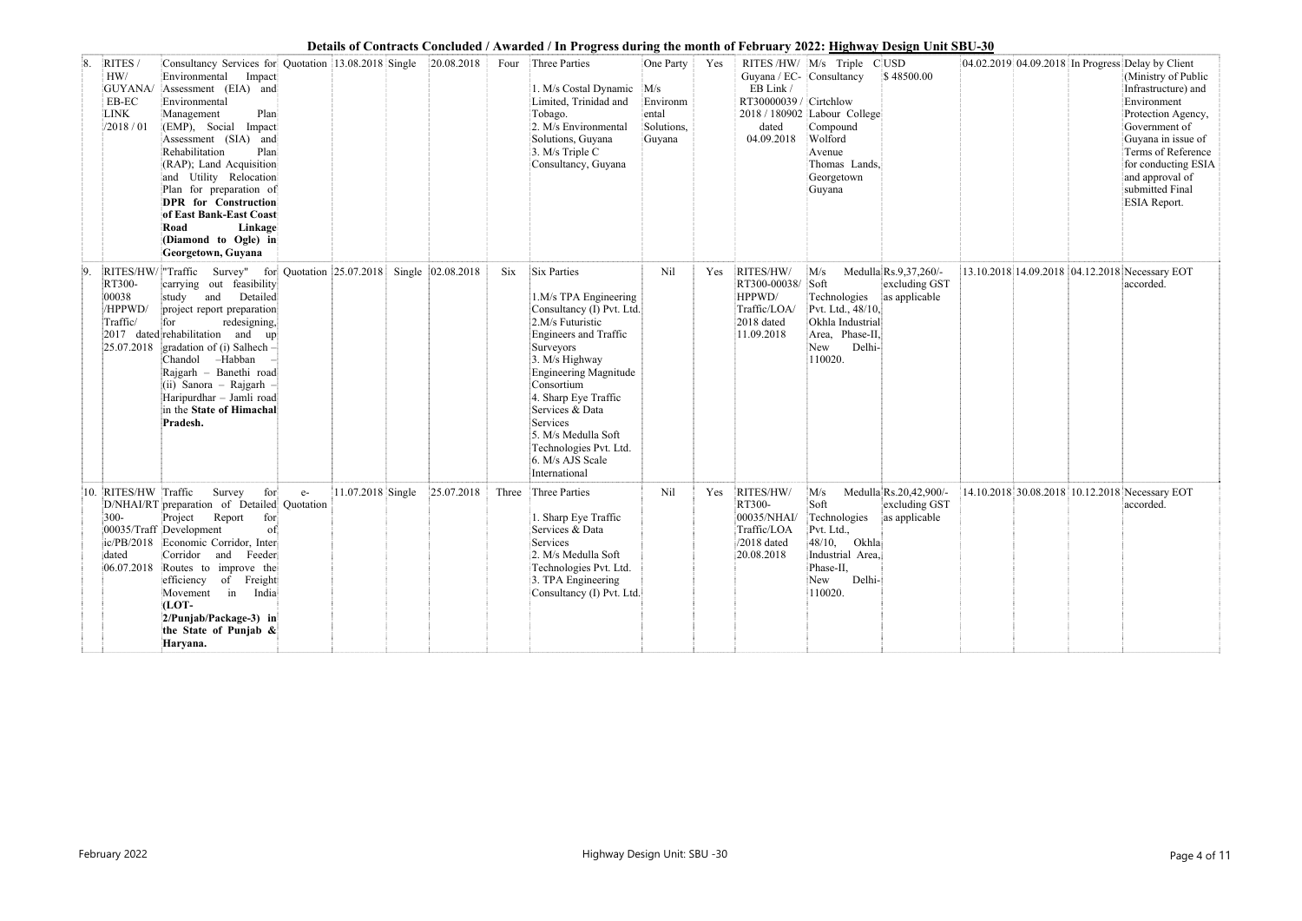|    |                                                                               |                                                                                                                                                                                                                                                                                                                                                                                                                                         |      |                   |                   |       | Details of Contracts Conciducu / Awarucu / In 1 rogress uuring the month of February 2022. <u>Highway Design Omt SDO-50</u>                                                                                                                                                                                                       |                                                        |     |                                                                                        |                                                                                                                                      |                                                           |  |                                                                                                                                                                                                                                                                                       |
|----|-------------------------------------------------------------------------------|-----------------------------------------------------------------------------------------------------------------------------------------------------------------------------------------------------------------------------------------------------------------------------------------------------------------------------------------------------------------------------------------------------------------------------------------|------|-------------------|-------------------|-------|-----------------------------------------------------------------------------------------------------------------------------------------------------------------------------------------------------------------------------------------------------------------------------------------------------------------------------------|--------------------------------------------------------|-----|----------------------------------------------------------------------------------------|--------------------------------------------------------------------------------------------------------------------------------------|-----------------------------------------------------------|--|---------------------------------------------------------------------------------------------------------------------------------------------------------------------------------------------------------------------------------------------------------------------------------------|
| 8. | RITES/<br>HW/<br>GUYANA/<br>$\operatorname{EB-EC}$<br><b>LINK</b><br>/2018/01 | Consultancy Services for Quotation 13.08.2018 Single 20.08.2018<br>Environmental<br>Impact<br>Assessment (EIA) and<br>Environmental<br>Plan<br>Management<br>(EMP), Social Impact<br>Assessment (SIA) and<br>Rehabilitation<br>Plan<br>(RAP); Land Acquisition<br>and Utility Relocation<br>Plan for preparation of<br>DPR for Construction<br>of East Bank-East Coast<br>Road<br>Linkage<br>(Diamond to Ogle) in<br>Georgetown, Guyana |      |                   |                   |       | Four Three Parties<br>1. M/s Costal Dynamic M/s<br>Limited, Trinidad and<br>Tobago.<br>2. M/s Environmental<br>Solutions, Guyana<br>3. M/s Triple C<br>Consultancy, Guyana                                                                                                                                                        | One Party<br>Environm<br>ental<br>Solutions,<br>Guyana | Yes | Guyana / EC- Consultancy<br>EB Link /<br>RT30000039 / Cirtchlow<br>dated<br>04.09.2018 | RITES/HW/ M/s Triple C USD<br>2018 / 180902 Labour College<br>Compound<br>Wolford<br>Avenue<br>Thomas Lands.<br>Georgetown<br>Guyana | \$48500.00                                                |  | 04.02.2019 04.09.2018 In Progress Delay by Client<br>(Ministry of Public<br>Infrastructure) and<br>Environment<br>Protection Agency,<br>Government of<br>Guyana in issue of<br>Terms of Reference<br>for conducting ESIA<br>and approval of<br>submitted Final<br><b>ESIA Report.</b> |
| 9. | RT300-<br>00038<br>/HPPWD/<br>Traffic/<br>2017<br>25.07.2018                  | RITES/HW/ Traffic Survey" for Quotation 25.07.2018<br>carrying out feasibility<br>Detailed<br>study<br>and<br>project report preparation<br>redesigning,<br>for<br>dated rehabilitation and up<br>gradation of (i) Salhech $-$<br>Chandol -Habban<br>Rajgarh - Banethi road<br>(ii) Sanora - Rajgarh -<br>Haripurdhar - Jamli road<br>in the State of Himachal<br>Pradesh.                                                              |      |                   | Single 02.08.2018 | Six   | Six Parties<br>1.M/s TPA Engineering<br>Consultancy (I) Pvt. Ltd.<br>2.M/s Futuristic<br>Engineers and Traffic<br>Surveyors<br>3. M/s Highway<br>Engineering Magnitude<br>Consortium<br>4. Sharp Eye Traffic<br>Services & Data<br>Services<br>5. M/s Medulla Soft<br>Technologies Pvt. Ltd.<br>6. M/s AJS Scale<br>International | Nil                                                    | Yes | RITES/HW/<br>RT300-00038/ Soft<br>HPPWD/<br>Traffic/LOA/<br>2018 dated<br>11.09.2018   | M/s<br>Technologies<br>Pvt. Ltd., 48/10,<br>Okhla Industrial<br>Area, Phase-II,<br>Delhi-<br>New<br>110020.                          | Medulla $Rs.9,37,260/-$<br>excluding GST<br>as applicable |  | 13.10.2018 14.09.2018 04.12.2018 Necessary EOT<br>accorded.                                                                                                                                                                                                                           |
|    | RITES/HW Traffic<br>300-<br>dated                                             | Survey<br>for<br>D/NHAI/RT preparation of Detailed Quotation<br>Project<br>Report<br>for<br>00035/Traff Development<br>$\vert$ of<br>ic/PB/2018 Economic Corridor, Inter<br>Corridor and Feeder<br>06.07.2018 Routes to improve the<br>efficiency of Freight<br>Movement in India<br>(LOT-<br>$2/P$ unjab/Package-3) in<br>the State of Punjab $\&$<br>Haryana.                                                                         | $e-$ | 11.07.2018 Single | 25.07.2018        | Three | Three Parties<br>1. Sharp Eye Traffic<br>Services & Data<br>Services<br>2. M/s Medulla Soft<br>Technologies Pvt. Ltd.<br>3. TPA Engineering<br>Consultancy (I) Pvt. Ltd.                                                                                                                                                          | Nil                                                    | Yes | RITES/HW/<br>RT300-<br>00035/NHAI/<br>Traffic/LOA<br>$/2018$ dated<br>20.08.2018       | M/s<br>Soft<br>Technologies<br>Pvt. Ltd.,<br>$ 48/10, \quad \text{Okhla} $<br>Industrial Area.<br>Phase-II,<br>New Delhi-<br>110020. | Medulla Rs.20,42,900/-<br>excluding GST<br>as applicable  |  | 14.10.2018 30.08.2018 10.12.2018 Necessary EOT<br>accorded.                                                                                                                                                                                                                           |

| ٦ |  |
|---|--|
|   |  |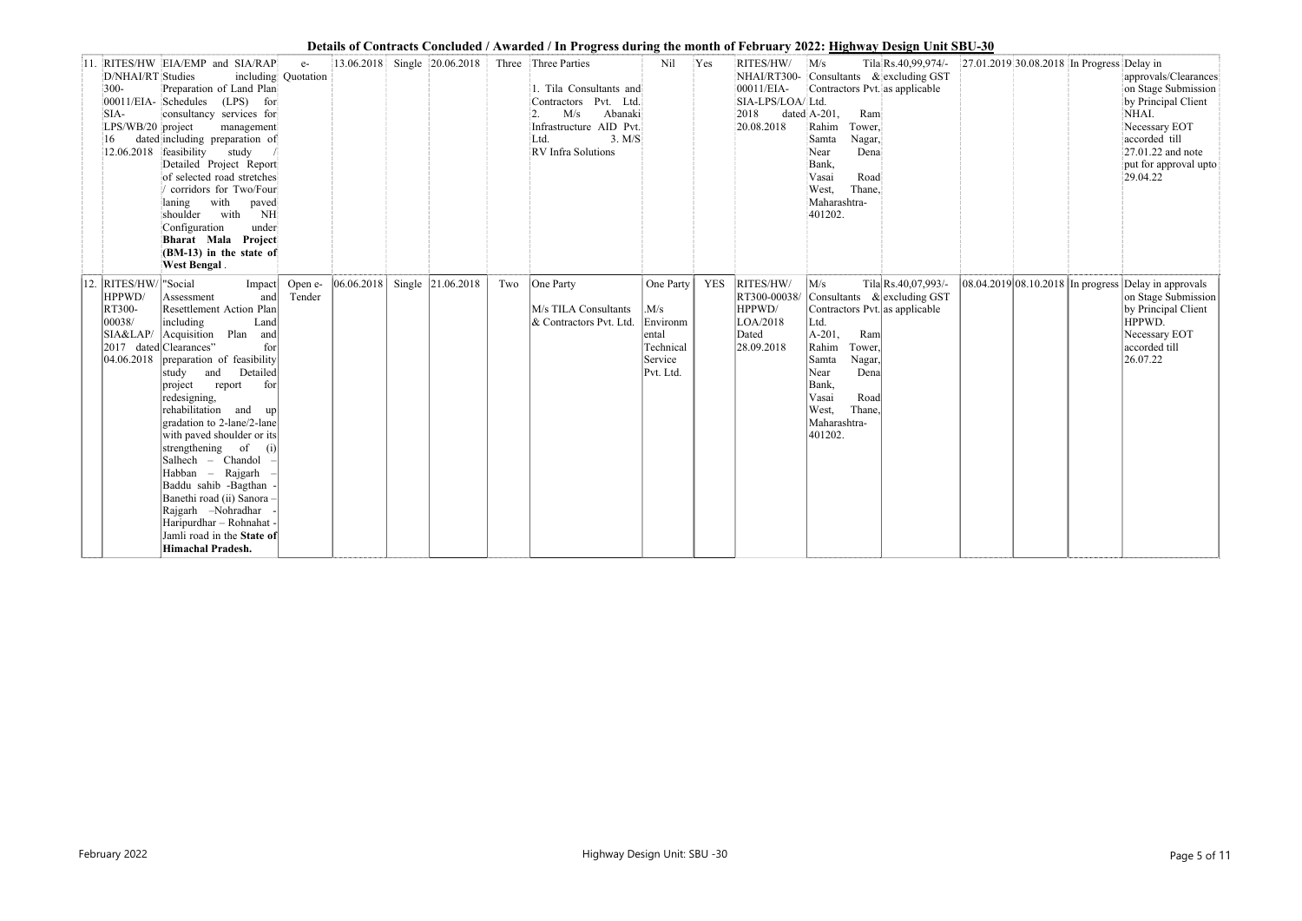|     |                                                                                           |                                                                                                                                                                                                                                                                                                                                                                                                                                                                                                                                                                          |                             |            |                   |     | Details of Contracts Concidently / That aca / The Fugless authig the month of February 2022, <u>Themay Design Chit SDC 00</u>                                                             |                                                                                          |            |                                                                        |                                                                                                                                                                                                                                |                        |                                                      |                                                                                                                                                                         |
|-----|-------------------------------------------------------------------------------------------|--------------------------------------------------------------------------------------------------------------------------------------------------------------------------------------------------------------------------------------------------------------------------------------------------------------------------------------------------------------------------------------------------------------------------------------------------------------------------------------------------------------------------------------------------------------------------|-----------------------------|------------|-------------------|-----|-------------------------------------------------------------------------------------------------------------------------------------------------------------------------------------------|------------------------------------------------------------------------------------------|------------|------------------------------------------------------------------------|--------------------------------------------------------------------------------------------------------------------------------------------------------------------------------------------------------------------------------|------------------------|------------------------------------------------------|-------------------------------------------------------------------------------------------------------------------------------------------------------------------------|
|     | D/NHAI/RT Studies<br>$300 -$<br>SIA-<br>LPS/WB/20 project<br>16<br>12.06.2018 feasibility | 11. RITES/HW EIA/EMP and SIA/RAP<br>Preparation of Land Plan<br>00011/EIA-Schedules (LPS) for<br>consultancy services for<br>management<br>dated including preparation of<br>study<br>Detailed Project Report<br>of selected road stretches<br>corridors for Two/Four<br>with<br>paved<br>laning<br>shoulder with<br>NH<br>under<br>Configuration<br>Bharat Mala Project<br>(BM-13) in the state of<br><b>West Bengal</b> .                                                                                                                                              | $e-$<br>including Quotation |            |                   |     | 13.06.2018 Single 20.06.2018 Three Three Parties<br>1. Tila Consultants and<br>Contractors Pvt. Ltd.<br>Abanaki<br>M/s<br>Infrastructure AID Pvt.<br>3. M/S<br>Ltd.<br>RV Infra Solutions | Nil                                                                                      | Yes        | RITES/HW/ M/s<br>00011/EIA-<br>SIA-LPS/LOA/ Ltd.<br>2018<br>20.08.2018 | NHAI/RT300- Consultants & excluding GST<br>Contractors Pvt. as applicable<br>dated A-201,<br>Ram<br>Tower,<br>Rahim<br>Nagar,<br>Samta<br>Dena<br>Near<br>Bank,<br>Vasai<br>Road<br>Thane,<br>West,<br>Maharashtra-<br>401202. | Tila Rs.40,99,974/-    | 27.01.2019 30.08.2018 In Progress Delay in           | approvals/Clearances<br>on Stage Submission<br>by Principal Client<br>NHAI.<br>Necessary EOT<br>accorded till<br>27.01.22 and note<br>put for approval upto<br>29.04.22 |
| 12. | RITES/HW<br>HPPWD/<br><b>RT300-</b><br> 00038/<br>SIA&LAP/<br>$ 04.06.2018\rangle$        | "Social<br>Impact<br>Assessment<br>and<br>Resettlement Action Plan<br>including<br>Land<br>Acquisition Plan and<br>2017 dated Clearances"<br>for<br>preparation of feasibility<br>and<br>Detailed<br>study<br>project report<br>for<br>redesigning,<br>rehabilitation and up<br>gradation to 2-lane/2-lane<br>with paved shoulder or its<br>strengthening of $(i)$<br>Salhech - Chandol -<br>Habban – Rajgarh<br>Baddu sahib -Bagthan<br>Banethi road (ii) Sanora -<br>Rajgarh -Nohradhar<br>Haripurdhar - Rohnahat -<br>Jamli road in the State of<br>Himachal Pradesh. | Open e-<br>Tender           | 06.06.2018 | Single 21.06.2018 | Two | One Party<br>M/s TILA Consultants<br>& Contractors Pvt. Ltd.                                                                                                                              | One Party<br>$\vert M/s \vert$<br>Environm<br>ental<br>Technical<br>Service<br>Pvt. Ltd. | <b>YES</b> | RITES/HW/<br>RT300-00038/<br>HPPWD/<br>LOA/2018<br>Dated<br>28.09.2018 | M/s<br>Consultants & excluding GST<br>Contractors Pvt. as applicable<br>Ltd.<br>$A-201,$<br>Ram<br>Rahim<br>Tower,<br>Nagar,<br>Samta<br>Dena<br>Near<br>Bank,<br>Road<br>Vasai<br>Thane,<br>West,<br>Maharashtra-<br>401202.  | Tila Rs. 40, 07, 993/- | 08.04.2019 08.10.2018 In progress Delay in approvals | on Stage Submission<br>by Principal Client<br>HPPWD.<br>Necessary EOT<br>accorded till<br>26.07.22                                                                      |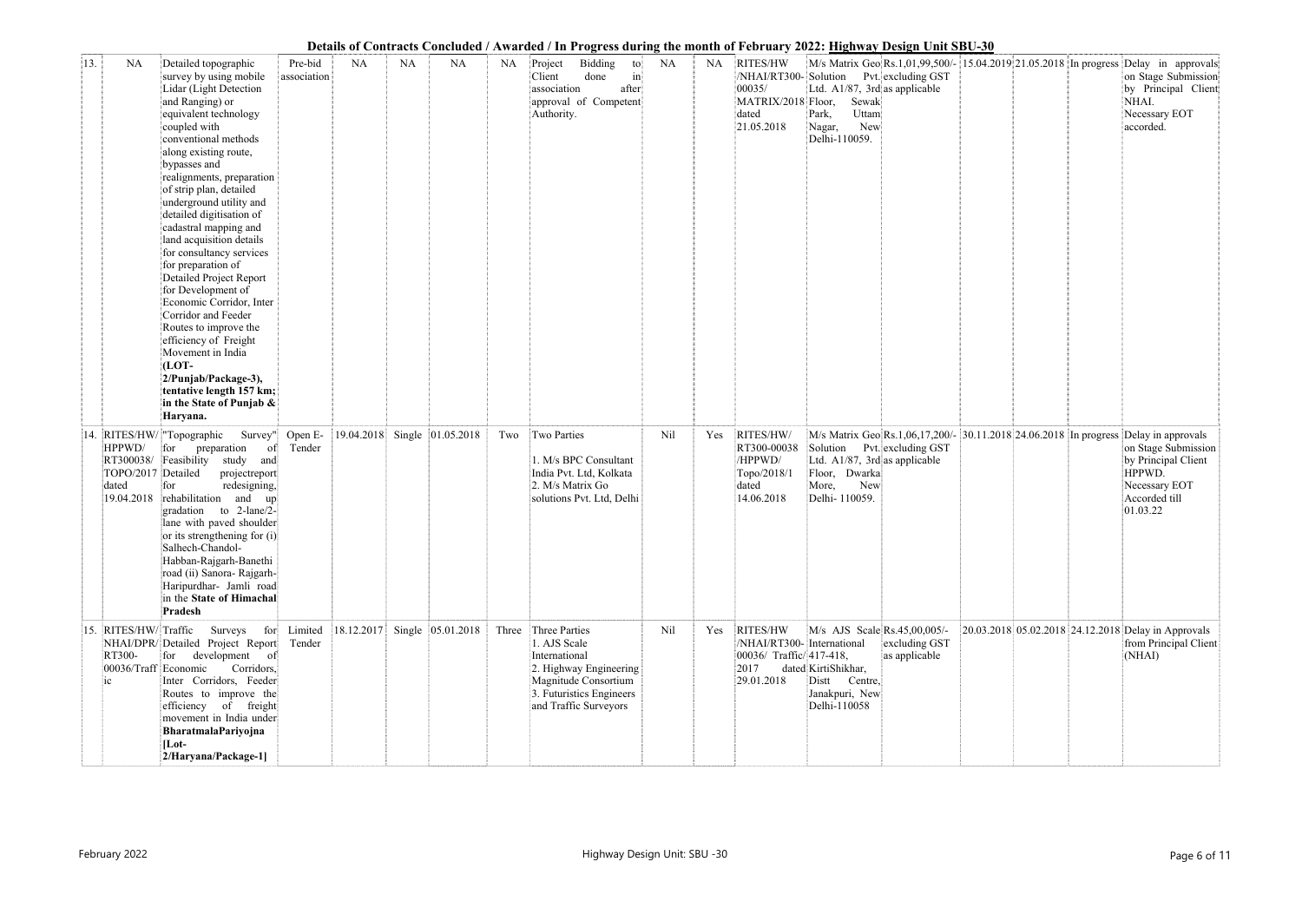|     |                                                                 |                                                                                                                                                                                                                                                                                                                                                                                                                                                                                                                                                                                                                                                                                                                       |                           |            |           |                              |       | Details of Contracts Concluded / Awarded / In Progress during the month of February 2022: <u>Highway Design Unit SBU-30</u>                           |           |           |                                                                                                |                                                                                                                                          |                                |  |                                                                                                                                                                                            |
|-----|-----------------------------------------------------------------|-----------------------------------------------------------------------------------------------------------------------------------------------------------------------------------------------------------------------------------------------------------------------------------------------------------------------------------------------------------------------------------------------------------------------------------------------------------------------------------------------------------------------------------------------------------------------------------------------------------------------------------------------------------------------------------------------------------------------|---------------------------|------------|-----------|------------------------------|-------|-------------------------------------------------------------------------------------------------------------------------------------------------------|-----------|-----------|------------------------------------------------------------------------------------------------|------------------------------------------------------------------------------------------------------------------------------------------|--------------------------------|--|--------------------------------------------------------------------------------------------------------------------------------------------------------------------------------------------|
| 13. | <b>NA</b>                                                       | Detailed topographic<br>survey by using mobile<br>Lidar (Light Detection<br>and Ranging) or<br>equivalent technology<br>coupled with<br>conventional methods<br>along existing route,<br>bypasses and<br>realignments, preparation<br>of strip plan, detailed<br>underground utility and<br>detailed digitisation of<br>cadastral mapping and<br>land acquisition details<br>for consultancy services<br>for preparation of<br><b>Detailed Project Report</b><br>for Development of<br>Economic Corridor, Inter<br>Corridor and Feeder<br>Routes to improve the<br>efficiency of Freight<br>Movement in India<br>$(LOT -$<br>2/Punjab/Package-3),<br>tentative length 157 km;<br>in the State of Punjab &<br>Haryana. | Pre-bid<br>association    | <b>NA</b>  | <b>NA</b> | <b>NA</b>                    | NA.   | Bidding<br>Project<br>to<br>$\left  \text{in} \right $<br>Client<br>done<br>association<br>after<br>approval of Competent<br>Authority.               | <b>NA</b> | <b>NA</b> | RITES/HW<br>00035/<br>MATRIX/2018 Floor,<br>dated<br>21.05.2018                                | /NHAI/RT300-Solution Pvt. excluding GST<br>Ltd. $A1/87$ , 3rd as applicable<br>Sewak<br>Uttam<br>Park,<br>New<br>Nagar,<br>Delhi-110059. |                                |  | M/s Matrix Geo Rs.1,01,99,500/- 15.04.2019 21.05.2018 In progress Delay in approvals<br>on Stage Submission<br>by Principal Client<br>NHAI.<br>Necessary EOT<br>accorded.                  |
| 14  | HPPWD/<br>RT300038/<br>TOPO/2017<br>dated<br>19.04.2018         | RITES/HW/ "Topographic<br>for<br>preparation<br>$\sigma$<br>Feasibility study and<br>Detailed<br>projectreport<br>redesigning,<br>for<br>rehabilitation and<br>up<br>gradation to 2-lane/2-<br>lane with paved shoulder<br>or its strengthening for (i)<br>Salhech-Chandol-<br>Habban-Rajgarh-Banethi<br>road (ii) Sanora- Rajgarh-<br>Haripurdhar- Jamli road<br>in the State of Himachal<br>Pradesh                                                                                                                                                                                                                                                                                                                 | Survey" Open E-<br>Tender |            |           | 19.04.2018 Single 01.05.2018 | Two   | Two Parties<br>1. M/s BPC Consultant<br>India Pvt. Ltd, Kolkata<br>2. M/s Matrix Go<br>solutions Pvt. Ltd, Delhi                                      | Nil       | Yes       | RITES/HW/<br>RT300-00038<br>/HPPWD/<br>Topo/2018/1<br>dated<br>14.06.2018                      | Solution Pvt. excluding GST<br>Ltd. A1/87, 3rd as applicable<br>Floor, Dwarka<br>New<br>More,<br>Delhi- 110059.                          |                                |  | M/s Matrix Geo Rs.1,06,17,200/- 30.11.2018 24.06.2018 In progress Delay in approvals<br>on Stage Submission<br>by Principal Client<br>HPPWD.<br>Necessary EOT<br>Accorded till<br>01.03.22 |
|     | 15. RITES/HW/Traffic<br>RT300-<br>00036/Traff Economic<br>$i$ c | Surveys for Limited<br>NHAI/DPR/Detailed Project Report<br>for development of<br>Corridors,<br>Inter Corridors, Feeder<br>Routes to improve the<br>efficiency of freight<br>movement in India under<br>BharatmalaPariyojna<br>$[Lot-$<br>2/Haryana/Package-1]                                                                                                                                                                                                                                                                                                                                                                                                                                                         | Tender                    | 18.12.2017 |           | Single 05.01.2018            | Three | Three Parties<br>1. AJS Scale<br>International<br>2. Highway Engineering<br>Magnitude Consortium<br>3. Futuristics Engineers<br>and Traffic Surveyors | Nil       | Yes       | <b>RITES/HW</b><br>/NHAI/RT300- International<br>00036/ Traffic/417-418,<br>2017<br>29.01.2018 | M/s AJS Scale Rs.45,00,005/-<br>dated KirtiShikhar,<br>Distt<br>Centre,<br>Janakpuri, New<br>Delhi-110058                                | excluding GST<br>as applicable |  | 20.03.2018 05.02.2018 24.12.2018 Delay in Approvals<br>from Principal Client<br>(NHAI)                                                                                                     |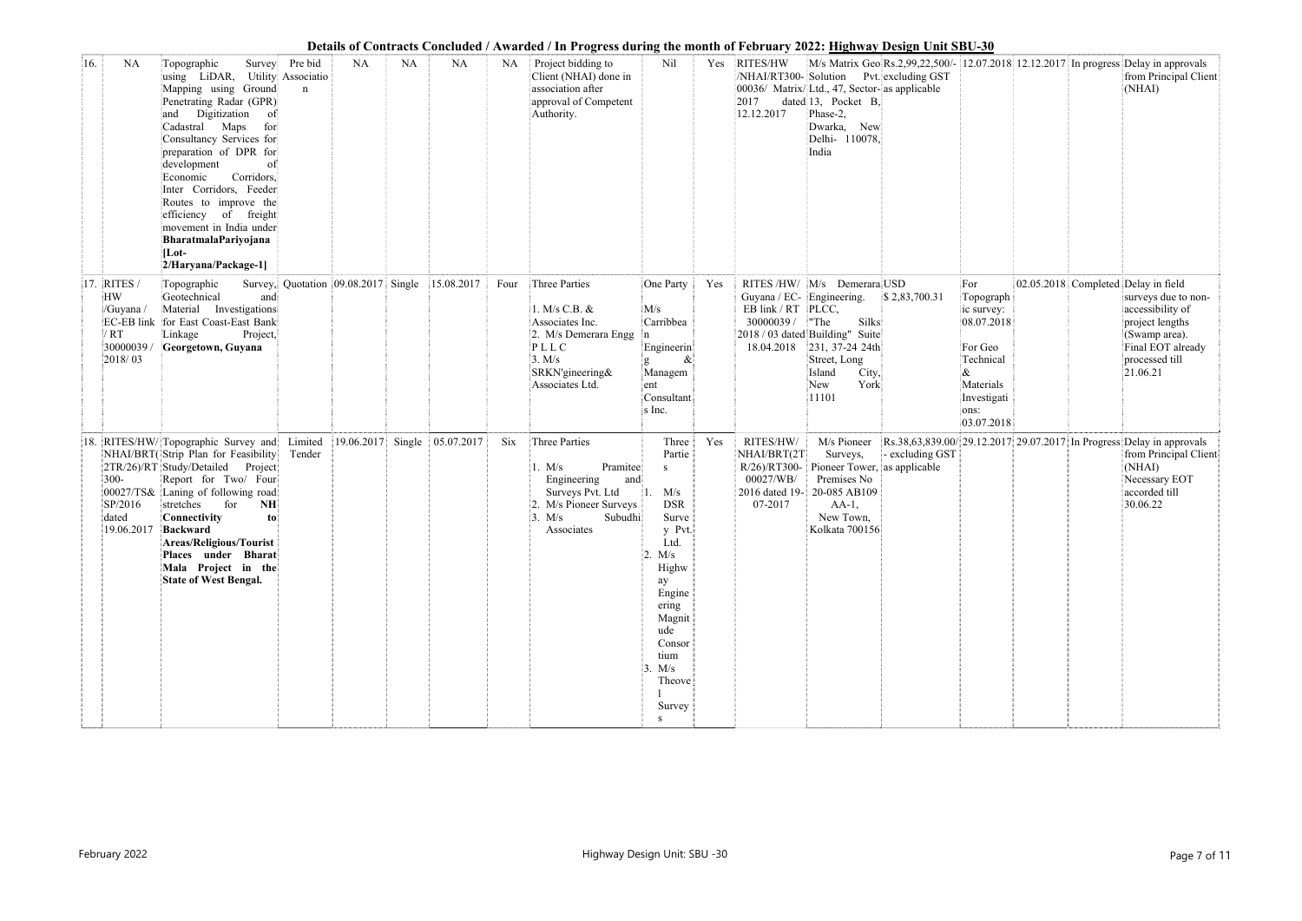|     |                                                                 |                                                                                                                                                                                                                                                                                                                                                                                                                                                   |                        |            |           |                                                |      | Details of Contracts Concluded / Awarded / In Progress during the month of February 2022: <u>Highway Design Unit SBU-30</u>                  |                                                                                                                                                                                        |     |                                                                            |                                                                                                                                                                      |                 |                                                                                                                             |  |                                                                                                                                                                       |
|-----|-----------------------------------------------------------------|---------------------------------------------------------------------------------------------------------------------------------------------------------------------------------------------------------------------------------------------------------------------------------------------------------------------------------------------------------------------------------------------------------------------------------------------------|------------------------|------------|-----------|------------------------------------------------|------|----------------------------------------------------------------------------------------------------------------------------------------------|----------------------------------------------------------------------------------------------------------------------------------------------------------------------------------------|-----|----------------------------------------------------------------------------|----------------------------------------------------------------------------------------------------------------------------------------------------------------------|-----------------|-----------------------------------------------------------------------------------------------------------------------------|--|-----------------------------------------------------------------------------------------------------------------------------------------------------------------------|
| 16. | <b>NA</b>                                                       | Topographic<br>Survey<br>using LiDAR, Utility Associatio<br>Mapping using Ground<br>Penetrating Radar (GPR)<br>Digitization<br>$\circ$ f<br>and<br>Cadastral Maps<br>for<br>Consultancy Services for<br>preparation of DPR for<br>development<br>of<br>Corridors,<br>Economic<br>Inter Corridors, Feeder<br>Routes to improve the<br>efficiency of freight<br>movement in India under<br>BharatmalaPariyojana<br>$ $ Lot-<br>2/Haryana/Package-1] | Pre bid<br>$\mathbf n$ | <b>NA</b>  | <b>NA</b> | <b>NA</b>                                      | NA   | Project bidding to<br>Client (NHAI) done in<br>association after<br>approval of Competent<br>Authority.                                      | Nil                                                                                                                                                                                    |     | Yes RITES/HW<br>2017<br>12.12.2017                                         | /NHAI/RT300-Solution Pvt. excluding GST<br>00036/ Matrix/Ltd., 47, Sector-as applicable<br>dated 13, Pocket B,<br>Phase-2,<br>Dwarka, New<br>Delhi- 110078,<br>India |                 |                                                                                                                             |  | M/s Matrix Geo Rs.2,99,22,500/- 12.07.2018 12.12.2017 In progress Delay in approvals<br>from Principal Client<br>(NHAI)                                               |
| 17. | <b>RITES</b><br>HW<br>/Guyana /<br>/ RT<br>30000039/<br>2018/03 | Topographic<br>Geotechnical<br>and<br>Material Investigations<br>EC-EB link for East Coast-East Bank<br>Project,<br>Linkage<br>Georgetown, Guyana                                                                                                                                                                                                                                                                                                 |                        |            |           | Survey, Quotation 09.08.2017 Single 15.08.2017 | Four | Three Parties<br>1. M/s C.B. &<br>Associates Inc.<br>2. M/s Demerara Engg<br>PLLC<br>3. M/s<br>SRKN'gineering&<br>Associates Ltd.            | One Party<br>M/s<br>Carribbea<br>Engineerin<br>$\&$<br>Managem<br>ent<br>Consultant<br>s Inc.                                                                                          | Yes | Guyana / EC- Engineering.<br>EB link / RT PLCC,<br>30000039/<br>18.04.2018 | RITES/HW/ M/s Demerara USD<br>Silks<br>"The<br>2018 / 03 dated Building" Suite<br>$ 231, 37-24 24th $<br>Street, Long<br>Island<br>City,<br>York<br>New<br>11101     | \$2,83,700.31   | For<br>Topograph<br>ic survey:<br>08.07.2018<br>For Geo<br>Technical<br>&<br>Materials<br>Investigati<br>ons:<br>03.07.2018 |  | 02.05.2018 Completed Delay in field<br>surveys due to non-<br>accessibility of<br>project lengths<br>(Swamp area).<br>Final EOT already<br>processed till<br>21.06.21 |
| 18. | $300 -$<br>00027/TS&<br>SP/2016<br>dated<br>19.06.2017          | RITES/HW/ Topographic Survey and<br>NHAI/BRT(Strip Plan for Feasibility<br>2TR/26)/RT Study/Detailed Project<br>Report for Two/ Four<br>Laning of following road<br>for<br>NH<br>stretches<br>Connectivity<br>to<br>Backward<br><b>Areas/Religious/Tourist</b><br>Places under Bharat<br>Mala Project in the<br><b>State of West Bengal.</b>                                                                                                      | Limited<br>Tender      | 19.06.2017 | Single    | 05.07.2017                                     | Six  | Three Parties<br>Pramitee<br>1. $M/s$<br>Engineering<br>and<br>Surveys Pvt. Ltd<br>2. M/s Pioneer Surveys<br>3. M/s<br>Subudhi<br>Associates | Three<br>Partie<br>S<br>M/s<br><b>DSR</b><br>Surve<br>y Pvt.<br>Ltd.<br>2. M/s<br>Highw<br>ay<br>Engine<br>ering<br>Magnit<br>ude<br>Consor<br>tium<br>3. M/s<br>Theove<br>Survey<br>S | Yes | RITES/HW/<br>NHAI/BRT(2T<br>00027/WB/<br>2016 dated 19-<br>07-2017         | M/s Pioneer<br>Surveys,<br>$R/26$ /RT300- Pioneer Tower, as applicable<br>Premises No<br>20-085 AB109<br>$AA-1$ ,<br>New Town,<br>Kolkata 700156                     | - excluding GST |                                                                                                                             |  | Rs.38,63,839.00/ 29.12.2017 29.07.2017 In Progress Delay in approvals<br>from Principal Client<br>(NHAI)<br>Necessary EOT<br>accorded till<br>30.06.22                |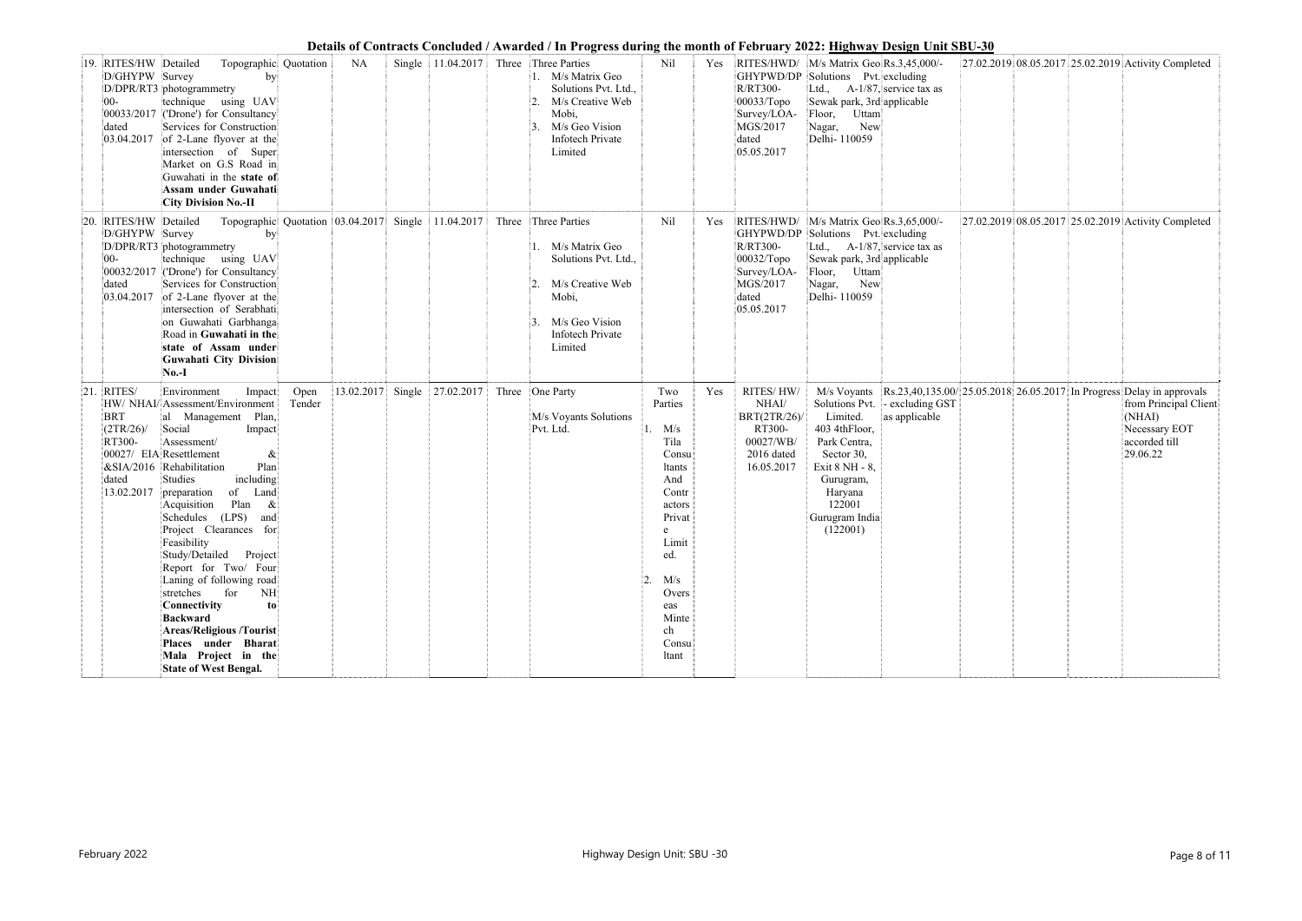|     |                                                                      |                                                                                                                                                                                                                                                                                                                                                                                                                                                                                                                                                                                                                                |                |            |        |                     |       | Deans of Contracts Concidence / Tenarucu / The Frogress auring the month of February 2022, <u>Highway Design ChildDC 00</u>                                      |                                                                                                                                                                             |     |                                                                                      |                                                                                                                                                                                                     |                                                 |  |                                                                                                                                                                    |
|-----|----------------------------------------------------------------------|--------------------------------------------------------------------------------------------------------------------------------------------------------------------------------------------------------------------------------------------------------------------------------------------------------------------------------------------------------------------------------------------------------------------------------------------------------------------------------------------------------------------------------------------------------------------------------------------------------------------------------|----------------|------------|--------|---------------------|-------|------------------------------------------------------------------------------------------------------------------------------------------------------------------|-----------------------------------------------------------------------------------------------------------------------------------------------------------------------------|-----|--------------------------------------------------------------------------------------|-----------------------------------------------------------------------------------------------------------------------------------------------------------------------------------------------------|-------------------------------------------------|--|--------------------------------------------------------------------------------------------------------------------------------------------------------------------|
| 19. | RITES/HW Detailed<br>D/GHYPW Survey<br>$00-$<br>dated<br>03.04.2017  | Topographic Quotation<br> by <br>D/DPR/RT3 photogrammetry<br>technique using UAV<br>00033/2017 ('Drone') for Consultancy<br>Services for Construction<br>of 2-Lane flyover at the<br>intersection of Super<br>Market on G.S Road in<br>Guwahati in the state of<br>Assam under Guwahati<br><b>City Division No.-II</b>                                                                                                                                                                                                                                                                                                         |                | NA         |        |                     |       | Single 11.04.2017 Three Three Parties<br>1. M/s Matrix Geo<br>Solutions Pvt. Ltd.,<br>M/s Creative Web<br>Mobi,<br>M/s Geo Vision<br>Infotech Private<br>Limited | Nil                                                                                                                                                                         |     | <b>R/RT300-</b><br>$00033/T$ opo<br>Survey/LOA-<br>MGS/2017<br>dated<br>05.05.2017   | Yes RITES/HWD/ M/s Matrix Geo Rs.3,45,000/-<br>GHYPWD/DP Solutions Pvt. excluding<br>Ltd., $A-1/87$ , service tax as<br>Sewak park, 3rd applicable<br>Floor, Uttam<br>New<br>Nagar,<br>Delhi-110059 |                                                 |  | 27.02.2019 08.05.2017 25.02.2019 Activity Completed                                                                                                                |
| 20. | RITES/HW Detailed<br>D/GHYPW Survey<br>$ 00-$<br>dated<br>03.04.2017 | Topographic Quotation 03.04.2017<br>by<br>D/DPR/RT3 photogrammetry<br>technique using UAV<br>00032/2017 ('Drone') for Consultancy<br>Services for Construction<br>of 2-Lane flyover at the<br>intersection of Serabhati<br>on Guwahati Garbhanga<br>Road in Guwahati in the<br>state of Assam under<br>Guwahati City Division<br>$No.-I$                                                                                                                                                                                                                                                                                       |                |            |        | Single $11.04.2017$ |       | Three Three Parties<br>M/s Matrix Geo<br>Solutions Pvt. Ltd.,<br>M/s Creative Web<br>Mobi,<br>M/s Geo Vision<br>Infotech Private<br>Limited                      | Nil                                                                                                                                                                         | Yes | R/RT300-<br>$00032/T$ opo<br>Survey/LOA-<br>MGS/2017<br>dated<br>05.05.2017          | RITES/HWD/ M/s Matrix Geo Rs.3,65,000/-<br>GHYPWD/DP Solutions Pvt. excluding<br>Ltd., $A-1/87$ , service tax as<br>Sewak park, 3rd applicable<br>Floor, Uttam<br>New<br>Nagar,<br>Delhi-110059     |                                                 |  | 27.02.2019 08.05.2017 25.02.2019 Activity Completed                                                                                                                |
| 21  | RITES/<br><b>BRT</b><br>(2TR/26)<br>RT300-<br>dated<br>13.02.2017    | Environment<br>Impact<br>HW/ NHAI/ Assessment/Environment<br>al Management Plan,<br>Social<br>Impact<br>Assessment/<br>00027/ EIA Resettlement<br>&<br>&SIA/2016 Rehabilitation<br>Plan<br>including<br>Studies<br>of<br>Land<br>preparation<br>Plan<br>Acquisition<br>$\&$<br>(LPS)<br>Schedules<br>and<br>Project Clearances for<br>Feasibility<br>Study/Detailed Project<br>Report for Two/ Four<br>Laning of following road<br>stretches<br>for<br>NH<br>Connectivity<br>$\mathbf{to}$<br><b>Backward</b><br><b>Areas/Religious /Tourist</b><br>Places under Bharat<br>Mala Project in the<br><b>State of West Bengal.</b> | Open<br>Tender | 13.02.2017 | Single | 27.02.2017          | Three | One Party<br>M/s Voyants Solutions<br>Pvt. Ltd.                                                                                                                  | Two<br>Parties<br>1. M/s<br>Tila<br>Consu<br>ltants<br>And<br>Contr<br>actors<br>Privat<br>e<br>Limit<br>ed.<br> 2.<br>M/s<br>Overs<br>eas<br>Minte<br>ch<br>Consu<br>ltant | Yes | RITES/HW/<br>NHAI/<br>BRT(2TR/26)<br>RT300-<br>00027/WB/<br>2016 dated<br>16.05.2017 | Limited.<br>403 4thFloor,<br>Park Centra,<br>Sector 30,<br>Exit 8 NH - 8,<br>Gurugram,<br>Haryana<br>122001<br>Gurugram India<br>(122001)                                                           | Solutions Pvt. - excluding GST<br>as applicable |  | M/s Voyants Rs.23,40,135.00/ 25.05.2018 26.05.2017 In Progress Delay in approvals<br>from Principal Client<br>(NHAI)<br>Necessary EOT<br>accorded till<br>29.06.22 |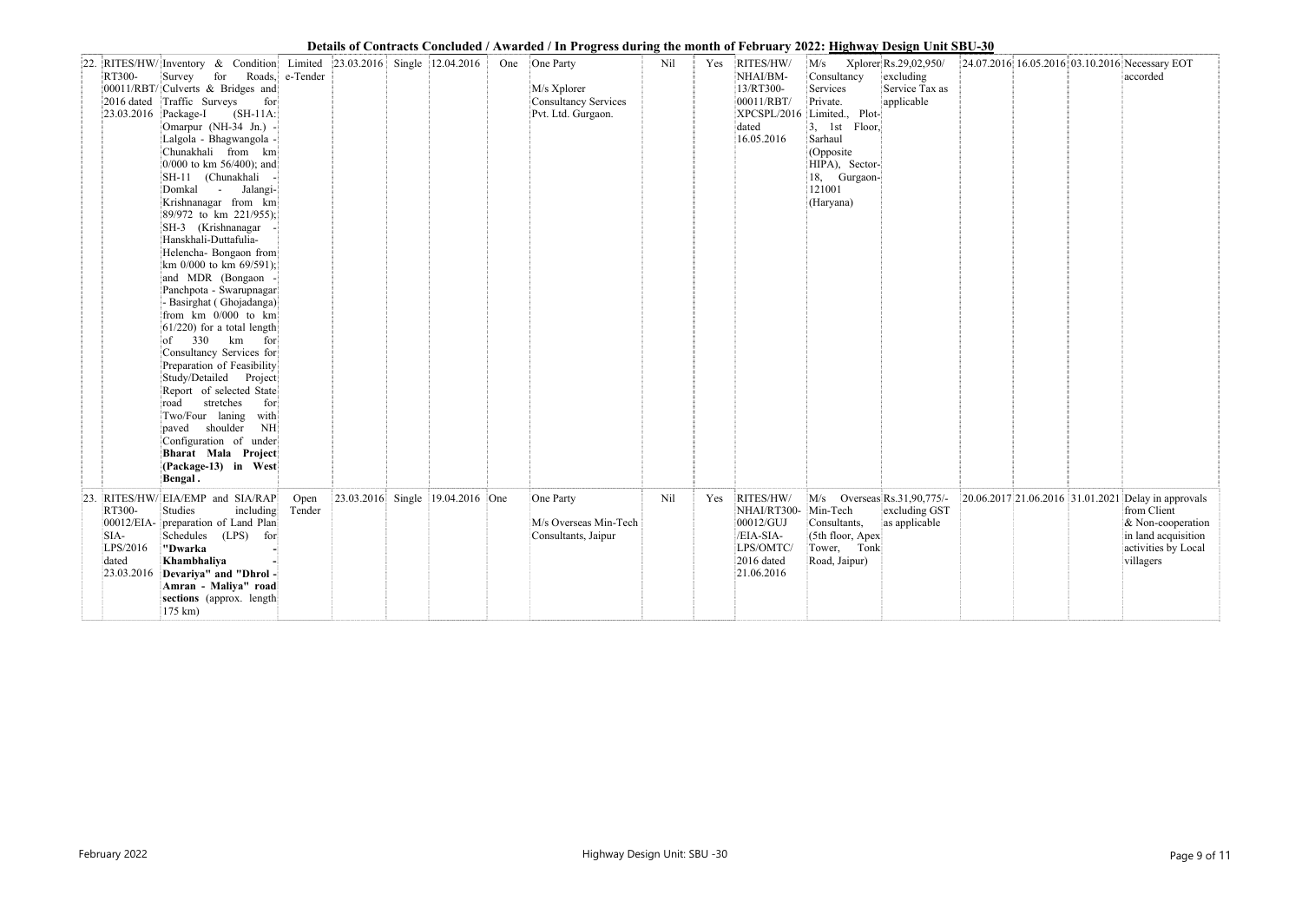|     |                                                                                                                                                                                                                                                                                                                                                                                                                                                                                                                                                                                                                                                                                                                                                                                                                                                                                                                                                      |                |                                                       |                                  | Details of Contracts Concluded / Awarded / In Progress during the month of Pedruary 2022; <u>Highway Design Unit SB</u> U-30 |     |     |                                                                                                      |                                                                                                                                                                                                       |                                           |  |                                                                                                                                                    |
|-----|------------------------------------------------------------------------------------------------------------------------------------------------------------------------------------------------------------------------------------------------------------------------------------------------------------------------------------------------------------------------------------------------------------------------------------------------------------------------------------------------------------------------------------------------------------------------------------------------------------------------------------------------------------------------------------------------------------------------------------------------------------------------------------------------------------------------------------------------------------------------------------------------------------------------------------------------------|----------------|-------------------------------------------------------|----------------------------------|------------------------------------------------------------------------------------------------------------------------------|-----|-----|------------------------------------------------------------------------------------------------------|-------------------------------------------------------------------------------------------------------------------------------------------------------------------------------------------------------|-------------------------------------------|--|----------------------------------------------------------------------------------------------------------------------------------------------------|
|     | 22. RITES/HW/Inventory & Condition<br>RT300-<br>Survey for Roads, e-Tender<br>00011/RBT/ Culverts & Bridges and<br>2016 dated Traffic Surveys<br>for<br>$(SH-11A)$<br>23.03.2016 Package-I<br>Omarpur (NH-34 Jn.) -<br>Lalgola - Bhagwangola -<br>Chunakhali from km<br>$0/000$ to km 56/400); and<br>SH-11 (Chunakhali<br>Domkal - Jalangi-<br>Krishnanagar from km<br>89/972 to km 221/955);<br>SH-3 (Krishnanagar<br>Hanskhali-Duttafulia-<br>Helencha- Bongaon from<br>km 0/000 to km 69/591);<br>and MDR (Bongaon<br>Panchpota - Swarupnagar<br>- Basirghat (Ghojadanga)<br>from $km$ 0/000 to $km$<br>$61/220$ ) for a total length<br>of $330 \text{ km}$ for<br>Consultancy Services for<br>Preparation of Feasibility<br>Study/Detailed Project<br>Report of selected State<br>stretches<br>for<br>road<br>Two/Four laning with<br>paved shoulder<br>NH<br>Configuration of under<br>Bharat Mala Project<br>(Package-13) in West<br>Bengal. |                | Limited $\left  23.03.2016 \right $ Single 12.04.2016 |                                  | One One Party<br>M/s Xplorer<br>Consultancy Services<br>Pvt. Ltd. Gurgaon.                                                   | Nil |     | Yes RITES/HW/<br>NHAI/BM-<br>13/RT300-<br>00011/RBT/<br>dated<br>16.05.2016                          | $M/s$ Xplorer Rs.29,02,950/<br>Consultancy<br>Services<br>Private.<br>XPCSPL/2016 Limited., Plot-<br>$3,$ 1st Floor,<br>Sarhaul<br>(Opposite<br>HIPA), Sector-<br>18, Gurgaon-<br>121001<br>(Haryana) | excluding<br>Service Tax as<br>applicable |  | 24.07.2016 16.05.2016 03.10.2016 Necessary EOT<br>accorded                                                                                         |
| 23. | RITES/HW/EIA/EMP and SIA/RAP<br>RT300-<br>Studies<br>including<br>00012/EIA- preparation of Land Plan<br>Schedules (LPS) for<br>SIA-<br>LPS/2016<br>"Dwarka<br>Khambhaliya<br>dated<br>23.03.2016 Devariya" and "Dhrol-<br>Amran - Maliya" road<br>sections (approx. length)<br>$175 \text{ km}$ )                                                                                                                                                                                                                                                                                                                                                                                                                                                                                                                                                                                                                                                   | Open<br>Tender |                                                       | 23.03.2016 Single 19.04.2016 One | One Party<br>M/s Overseas Min-Tech<br>Consultants, Jaipur                                                                    | Nil | Yes | RITES/HW/<br>NHAI/RT300- Min-Tech<br>00012/GUJ<br>/EIA-SIA-<br>LPS/OMTC/<br>2016 dated<br>21.06.2016 | M/s Overseas Rs.31,90,775/-<br>Consultants,<br>(5th floor, Apex<br>Tower, Tonk<br>Road, Jaipur)                                                                                                       | excluding GST<br>as applicable            |  | 20.06.2017 21.06.2016 31.01.2021 Delay in approvals<br>from Client<br>& Non-cooperation<br>in land acquisition<br>activities by Local<br>villagers |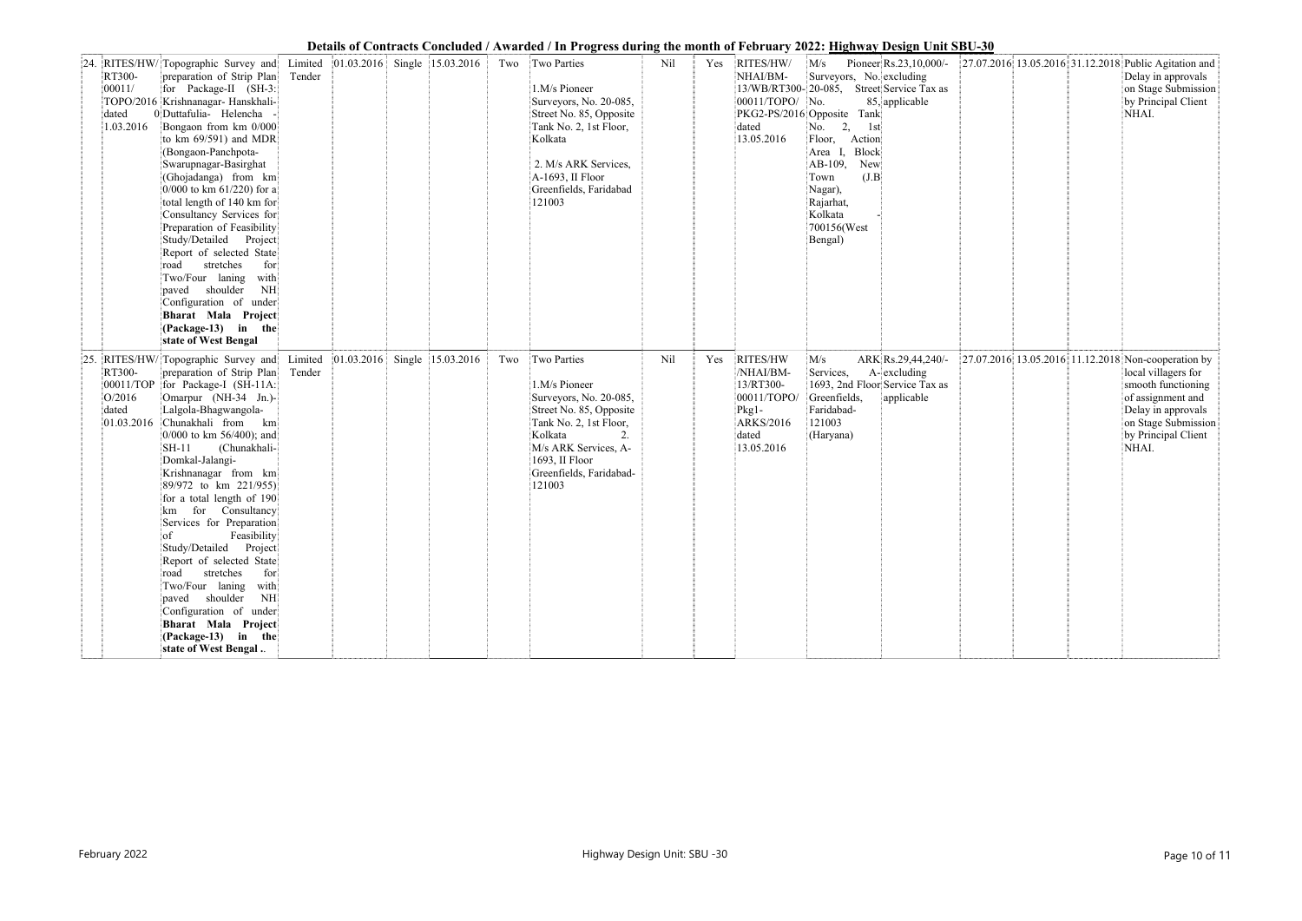|    |                                                                                                                                                                                                                                                                                                                                                                                                                                                                                                                                                                                                                                                                                                     |                   |            |                                  |     | Details of Contracts Concluded / Awarded / In Progress during the month of February 2022: <u>Highway Design Unit SBU-30</u>                                                                            |     |     |                                                                                                         |                                                                                                                                                                                                                                                                  |                                                     |  |                                                                                                                                                                                                    |
|----|-----------------------------------------------------------------------------------------------------------------------------------------------------------------------------------------------------------------------------------------------------------------------------------------------------------------------------------------------------------------------------------------------------------------------------------------------------------------------------------------------------------------------------------------------------------------------------------------------------------------------------------------------------------------------------------------------------|-------------------|------------|----------------------------------|-----|--------------------------------------------------------------------------------------------------------------------------------------------------------------------------------------------------------|-----|-----|---------------------------------------------------------------------------------------------------------|------------------------------------------------------------------------------------------------------------------------------------------------------------------------------------------------------------------------------------------------------------------|-----------------------------------------------------|--|----------------------------------------------------------------------------------------------------------------------------------------------------------------------------------------------------|
|    | 24. RITES/HW/ Topographic Survey and<br>RT300-<br>preparation of Strip Plan<br>for Package-II (SH-3:<br> 00011/<br>TOPO/2016 Krishnanagar- Hanskhali-<br>0 Duttafulia- Helencha<br>dated<br>1.03.2016<br>Bongaon from km 0/000<br>to $km 69/591$ ) and MDR<br>(Bongaon-Panchpota-<br>Swarupnagar-Basirghat<br>(Ghojadanga) from km<br>$0/000$ to km 61/220) for a<br>total length of 140 km for<br>Consultancy Services for<br>Preparation of Feasibility<br>Study/Detailed Project<br>Report of selected State<br>stretches<br>for<br>road<br>Two/Four laning with<br>paved shoulder<br>NH<br>Configuration of under<br>Bharat Mala Project<br>$(Package-13)$ in the<br>state of West Bengal       | Limited<br>Tender |            | $ 01.03.2016 $ Single 15.03.2016 | Two | Two Parties<br>1.M/s Pioneer<br>Surveyors, No. 20-085,<br>Street No. 85, Opposite<br>Tank No. 2, 1st Floor,<br>Kolkata<br>2. M/s ARK Services,<br>A-1693, II Floor<br>Greenfields, Faridabad<br>121003 | Nil | Yes | RITES/HW/<br>NHAI/BM-<br>00011/TOPO/ No.<br>dated<br>13.05.2016                                         | M/s<br>Surveyors, No. excluding<br>13/WB/RT300-20-085, Street Service Tax as<br>PKG2-PS/2016 Opposite Tank<br>2,<br>No.<br>1st<br>Floor, Action<br>Block<br>Area<br>AB-109,<br>New<br>(J.B)<br>Town<br>Nagar),<br>Rajarhat,<br>Kolkata<br>700156(West<br>Bengal) | Pioneer $\text{Rs}.23,10,000/-$<br>85, applicable   |  | 27.07.2016 13.05.2016 31.12.2018 Public Agitation and<br>Delay in approvals<br>on Stage Submission<br>by Principal Client<br>NHAI.                                                                 |
| 25 | RITES/HW/Topographic Survey and<br>RT300-<br>preparation of Strip Plan<br>for Package-I (SH-11A:<br>00011/TOP<br>Omarpur (NH-34 Jn.)-<br>O/2016<br>Lalgola-Bhagwangola-<br>dated<br>Chunakhali from km<br>01.03.2016<br>0/000 to km 56/400); and<br>(Chunakhali-<br>$SH-11$<br>Domkal-Jalangi-<br>Krishnanagar from km<br>89/972 to km 221/955)<br>for a total length of 190<br>for<br>Consultancy<br>km<br>Services for Preparation<br>$\sigma$<br>Feasibility<br>Study/Detailed Project<br>Report of selected State<br>stretches<br>road<br>for<br>Two/Four laning with<br>paved shoulder<br>NH<br>Configuration of under<br>Bharat Mala Project<br>$(Package-13)$ in the<br>state of West Bengal | Limited<br>Tender | 01.03.2016 | Single 15.03.2016                | Two | Two Parties<br>1.M/s Pioneer<br>Surveyors, No. 20-085,<br>Street No. 85, Opposite<br>Tank No. 2, 1st Floor,<br>Kolkata<br>M/s ARK Services, A-<br>1693, II Floor<br>Greenfields, Faridabad-<br>121003  | Nil | Yes | RITES/HW<br>/NHAI/BM-<br>13/RT300-<br>00011/TOPO/<br>$Pkg1-$<br><b>ARKS/2016</b><br>dated<br>13.05.2016 | M/s<br>Services,<br>1693, 2nd Floor Service Tax as<br>Greenfields,<br>Faridabad-<br>121003<br>(Haryana)                                                                                                                                                          | ARK Rs.29,44,240/-<br>$A$ - excluding<br>applicable |  | 27.07.2016 13.05.2016 11.12.2018 Non-cooperation by<br>local villagers for<br>smooth functioning<br>of assignment and<br>Delay in approvals<br>on Stage Submission<br>by Principal Client<br>NHAI. |